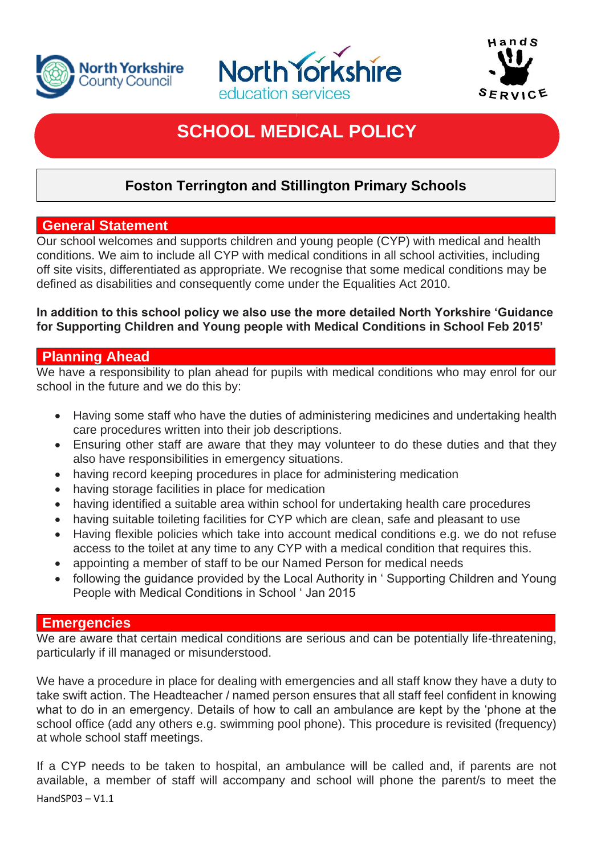





# **SCHOOL MEDICAL POLICY**

# **Foston Terrington and Stillington Primary Schools**

## **General Statement**

Our school welcomes and supports children and young people (CYP) with medical and health conditions. We aim to include all CYP with medical conditions in all school activities, including off site visits, differentiated as appropriate. We recognise that some medical conditions may be defined as disabilities and consequently come under the Equalities Act 2010.

#### **In addition to this school policy we also use the more detailed North Yorkshire 'Guidance for Supporting Children and Young people with Medical Conditions in School Feb 2015'**

# **Planning Ahead**

We have a responsibility to plan ahead for pupils with medical conditions who may enrol for our school in the future and we do this by:

- Having some staff who have the duties of administering medicines and undertaking health care procedures written into their job descriptions.
- Ensuring other staff are aware that they may volunteer to do these duties and that they also have responsibilities in emergency situations.
- having record keeping procedures in place for administering medication
- having storage facilities in place for medication
- having identified a suitable area within school for undertaking health care procedures
- having suitable toileting facilities for CYP which are clean, safe and pleasant to use
- Having flexible policies which take into account medical conditions e.g. we do not refuse access to the toilet at any time to any CYP with a medical condition that requires this.
- appointing a member of staff to be our Named Person for medical needs
- following the guidance provided by the Local Authority in ' Supporting Children and Young People with Medical Conditions in School ' Jan 2015

#### **Emergencies**

We are aware that certain medical conditions are serious and can be potentially life-threatening, particularly if ill managed or misunderstood.

We have a procedure in place for dealing with emergencies and all staff know they have a duty to take swift action. The Headteacher / named person ensures that all staff feel confident in knowing what to do in an emergency. Details of how to call an ambulance are kept by the 'phone at the school office (add any others e.g. swimming pool phone). This procedure is revisited (frequency) at whole school staff meetings.

HandSP03 – V1.1 If a CYP needs to be taken to hospital, an ambulance will be called and, if parents are not available, a member of staff will accompany and school will phone the parent/s to meet the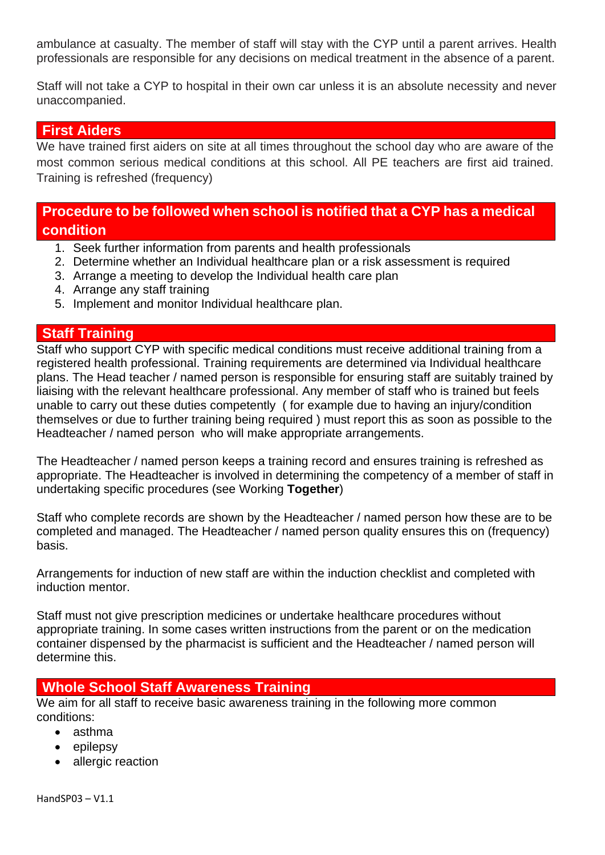ambulance at casualty. The member of staff will stay with the CYP until a parent arrives. Health professionals are responsible for any decisions on medical treatment in the absence of a parent.

Staff will not take a CYP to hospital in their own car unless it is an absolute necessity and never unaccompanied.

#### **First Aiders**

We have trained first aiders on site at all times throughout the school day who are aware of the most common serious medical conditions at this school. All PE teachers are first aid trained. Training is refreshed (frequency)

# **Procedure to be followed when school is notified that a CYP has a medical condition**

- 1. Seek further information from parents and health professionals
- 2. Determine whether an Individual healthcare plan or a risk assessment is required
- 3. Arrange a meeting to develop the Individual health care plan
- 4. Arrange any staff training
- 5. Implement and monitor Individual healthcare plan.

#### **Staff Training**

Staff who support CYP with specific medical conditions must receive additional training from a registered health professional. Training requirements are determined via Individual healthcare plans. The Head teacher / named person is responsible for ensuring staff are suitably trained by liaising with the relevant healthcare professional. Any member of staff who is trained but feels unable to carry out these duties competently ( for example due to having an injury/condition themselves or due to further training being required ) must report this as soon as possible to the Headteacher / named person who will make appropriate arrangements.

The Headteacher / named person keeps a training record and ensures training is refreshed as appropriate. The Headteacher is involved in determining the competency of a member of staff in undertaking specific procedures (see Working **Together**)

Staff who complete records are shown by the Headteacher / named person how these are to be completed and managed. The Headteacher / named person quality ensures this on (frequency) basis.

Arrangements for induction of new staff are within the induction checklist and completed with induction mentor.

Staff must not give prescription medicines or undertake healthcare procedures without appropriate training. In some cases written instructions from the parent or on the medication container dispensed by the pharmacist is sufficient and the Headteacher / named person will determine this.

#### **Whole School Staff Awareness Training**

We aim for all staff to receive basic awareness training in the following more common conditions:

- asthma
- epilepsy
- allergic reaction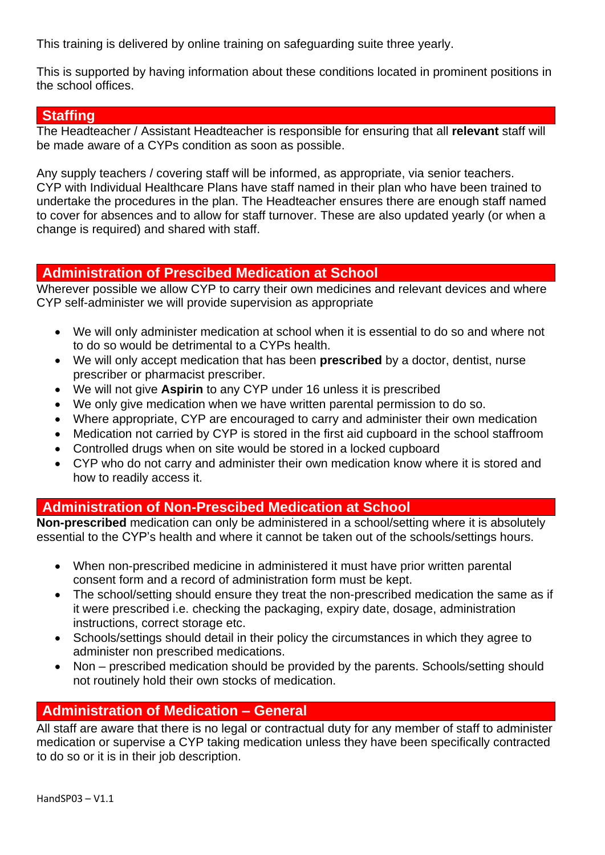This training is delivered by online training on safeguarding suite three yearly.

This is supported by having information about these conditions located in prominent positions in the school offices.

#### **Staffing**

The Headteacher / Assistant Headteacher is responsible for ensuring that all **relevant** staff will be made aware of a CYPs condition as soon as possible.

Any supply teachers / covering staff will be informed, as appropriate, via senior teachers. CYP with Individual Healthcare Plans have staff named in their plan who have been trained to undertake the procedures in the plan. The Headteacher ensures there are enough staff named to cover for absences and to allow for staff turnover. These are also updated yearly (or when a change is required) and shared with staff.

#### **Administration of Prescibed Medication at School**

Wherever possible we allow CYP to carry their own medicines and relevant devices and where CYP self-administer we will provide supervision as appropriate

- We will only administer medication at school when it is essential to do so and where not to do so would be detrimental to a CYPs health.
- We will only accept medication that has been **prescribed** by a doctor, dentist, nurse prescriber or pharmacist prescriber.
- We will not give **Aspirin** to any CYP under 16 unless it is prescribed
- We only give medication when we have written parental permission to do so.
- Where appropriate, CYP are encouraged to carry and administer their own medication
- Medication not carried by CYP is stored in the first aid cupboard in the school staffroom
- Controlled drugs when on site would be stored in a locked cupboard
- CYP who do not carry and administer their own medication know where it is stored and how to readily access it.

#### **Administration of Non-Prescibed Medication at School**

**Non-prescribed** medication can only be administered in a school/setting where it is absolutely essential to the CYP's health and where it cannot be taken out of the schools/settings hours.

- When non-prescribed medicine in administered it must have prior written parental consent form and a record of administration form must be kept.
- The school/setting should ensure they treat the non-prescribed medication the same as if it were prescribed i.e. checking the packaging, expiry date, dosage, administration instructions, correct storage etc.
- Schools/settings should detail in their policy the circumstances in which they agree to administer non prescribed medications.
- Non prescribed medication should be provided by the parents. Schools/setting should not routinely hold their own stocks of medication.

#### **Administration of Medication – General**

All staff are aware that there is no legal or contractual duty for any member of staff to administer medication or supervise a CYP taking medication unless they have been specifically contracted to do so or it is in their job description.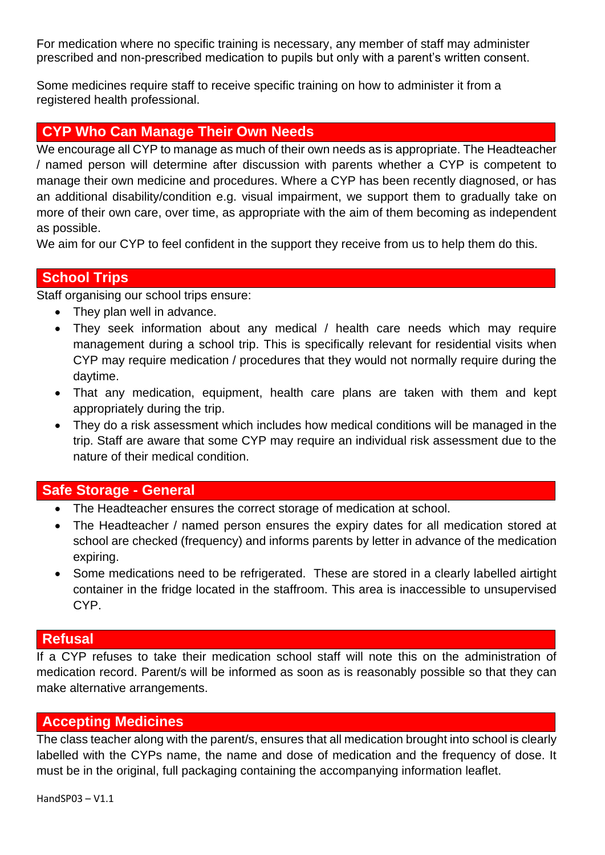For medication where no specific training is necessary, any member of staff may administer prescribed and non-prescribed medication to pupils but only with a parent's written consent.

Some medicines require staff to receive specific training on how to administer it from a registered health professional.

#### **CYP Who Can Manage Their Own Needs**

We encourage all CYP to manage as much of their own needs as is appropriate. The Headteacher / named person will determine after discussion with parents whether a CYP is competent to manage their own medicine and procedures. Where a CYP has been recently diagnosed, or has an additional disability/condition e.g. visual impairment, we support them to gradually take on more of their own care, over time, as appropriate with the aim of them becoming as independent as possible.

We aim for our CYP to feel confident in the support they receive from us to help them do this.

## **School Trips**

Staff organising our school trips ensure:

- They plan well in advance.
- They seek information about any medical / health care needs which may require management during a school trip. This is specifically relevant for residential visits when CYP may require medication / procedures that they would not normally require during the daytime.
- That any medication, equipment, health care plans are taken with them and kept appropriately during the trip.
- They do a risk assessment which includes how medical conditions will be managed in the trip. Staff are aware that some CYP may require an individual risk assessment due to the nature of their medical condition.

#### **Safe Storage - General**

- The Headteacher ensures the correct storage of medication at school.
- The Headteacher / named person ensures the expiry dates for all medication stored at school are checked (frequency) and informs parents by letter in advance of the medication expiring.
- Some medications need to be refrigerated. These are stored in a clearly labelled airtight container in the fridge located in the staffroom. This area is inaccessible to unsupervised CYP.

#### **Refusal**

If a CYP refuses to take their medication school staff will note this on the administration of medication record. Parent/s will be informed as soon as is reasonably possible so that they can make alternative arrangements.

#### **Accepting Medicines**

The class teacher along with the parent/s, ensures that all medication brought into school is clearly labelled with the CYPs name, the name and dose of medication and the frequency of dose. It must be in the original, full packaging containing the accompanying information leaflet.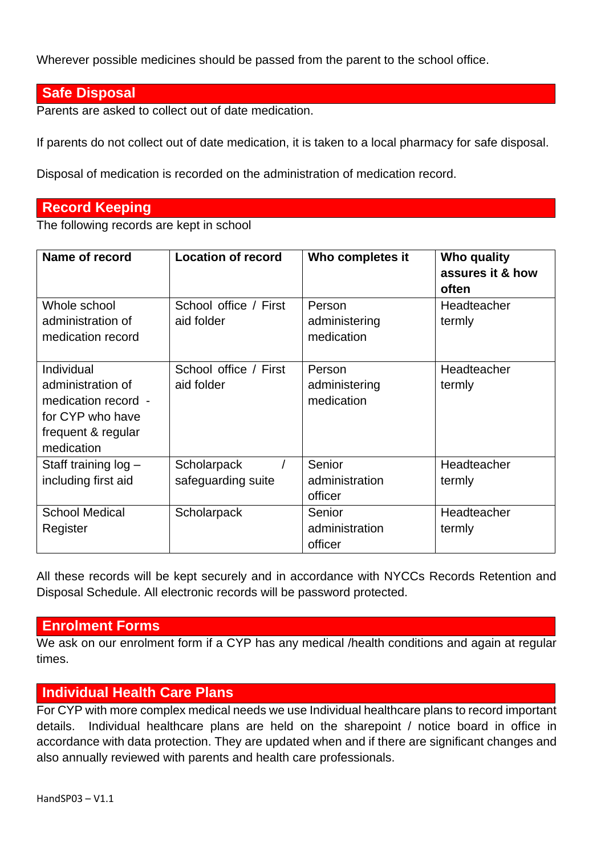Wherever possible medicines should be passed from the parent to the school office.

#### **Safe Disposal**

Parents are asked to collect out of date medication.

If parents do not collect out of date medication, it is taken to a local pharmacy for safe disposal.

Disposal of medication is recorded on the administration of medication record.

## **Record Keeping**

The following records are kept in school

| Name of record                                                                                                 | <b>Location of record</b>           | Who completes it                      | Who quality<br>assures it & how<br>often |
|----------------------------------------------------------------------------------------------------------------|-------------------------------------|---------------------------------------|------------------------------------------|
| Whole school<br>administration of<br>medication record                                                         | School office / First<br>aid folder | Person<br>administering<br>medication | Headteacher<br>termly                    |
| Individual<br>administration of<br>medication record -<br>for CYP who have<br>frequent & regular<br>medication | School office / First<br>aid folder | Person<br>administering<br>medication | Headteacher<br>termly                    |
| Staff training $log -$<br>including first aid                                                                  | Scholarpack<br>safeguarding suite   | Senior<br>administration<br>officer   | Headteacher<br>termly                    |
| <b>School Medical</b><br>Register                                                                              | Scholarpack                         | Senior<br>administration<br>officer   | Headteacher<br>termly                    |

All these records will be kept securely and in accordance with NYCCs Records Retention and Disposal Schedule. All electronic records will be password protected.

#### **Enrolment Forms**

We ask on our enrolment form if a CYP has any medical /health conditions and again at regular times.

#### **Individual Health Care Plans**

For CYP with more complex medical needs we use Individual healthcare plans to record important details. Individual healthcare plans are held on the sharepoint / notice board in office in accordance with data protection. They are updated when and if there are significant changes and also annually reviewed with parents and health care professionals.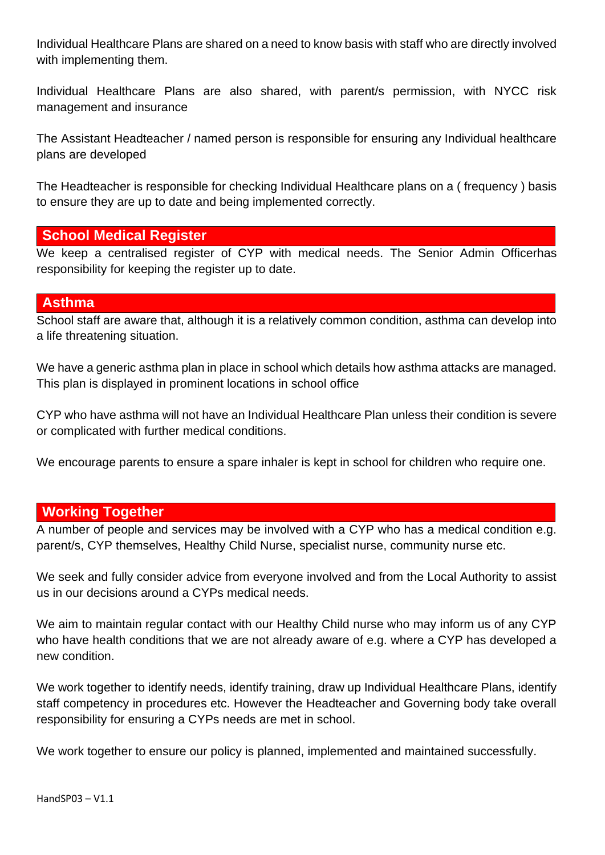Individual Healthcare Plans are shared on a need to know basis with staff who are directly involved with implementing them.

Individual Healthcare Plans are also shared, with parent/s permission, with NYCC risk management and insurance

The Assistant Headteacher / named person is responsible for ensuring any Individual healthcare plans are developed

The Headteacher is responsible for checking Individual Healthcare plans on a ( frequency ) basis to ensure they are up to date and being implemented correctly.

#### **School Medical Register**

We keep a centralised register of CYP with medical needs. The Senior Admin Officerhas responsibility for keeping the register up to date.

## **Asthma**

School staff are aware that, although it is a relatively common condition, asthma can develop into a life threatening situation.

We have a generic asthma plan in place in school which details how asthma attacks are managed. This plan is displayed in prominent locations in school office

CYP who have asthma will not have an Individual Healthcare Plan unless their condition is severe or complicated with further medical conditions.

We encourage parents to ensure a spare inhaler is kept in school for children who require one.

# **Working Together**

A number of people and services may be involved with a CYP who has a medical condition e.g. parent/s, CYP themselves, Healthy Child Nurse, specialist nurse, community nurse etc.

We seek and fully consider advice from everyone involved and from the Local Authority to assist us in our decisions around a CYPs medical needs.

We aim to maintain regular contact with our Healthy Child nurse who may inform us of any CYP who have health conditions that we are not already aware of e.g. where a CYP has developed a new condition.

We work together to identify needs, identify training, draw up Individual Healthcare Plans, identify staff competency in procedures etc. However the Headteacher and Governing body take overall responsibility for ensuring a CYPs needs are met in school.

We work together to ensure our policy is planned, implemented and maintained successfully.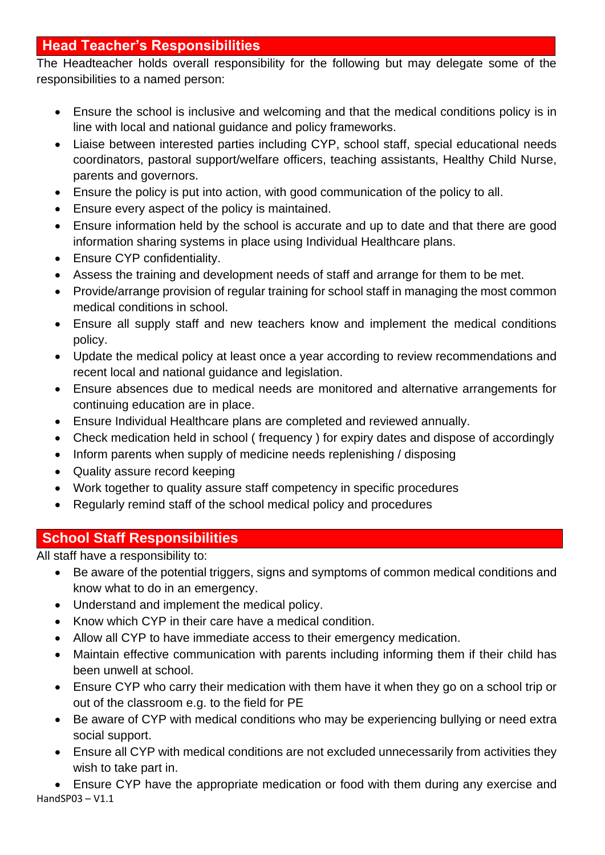# **Head Teacher's Responsibilities**

The Headteacher holds overall responsibility for the following but may delegate some of the responsibilities to a named person:

- Ensure the school is inclusive and welcoming and that the medical conditions policy is in line with local and national guidance and policy frameworks.
- Liaise between interested parties including CYP, school staff, special educational needs coordinators, pastoral support/welfare officers, teaching assistants, Healthy Child Nurse, parents and governors.
- Ensure the policy is put into action, with good communication of the policy to all.
- Ensure every aspect of the policy is maintained.
- Ensure information held by the school is accurate and up to date and that there are good information sharing systems in place using Individual Healthcare plans.
- Ensure CYP confidentiality.
- Assess the training and development needs of staff and arrange for them to be met.
- Provide/arrange provision of regular training for school staff in managing the most common medical conditions in school.
- Ensure all supply staff and new teachers know and implement the medical conditions policy.
- Update the medical policy at least once a year according to review recommendations and recent local and national guidance and legislation.
- Ensure absences due to medical needs are monitored and alternative arrangements for continuing education are in place.
- Ensure Individual Healthcare plans are completed and reviewed annually.
- Check medication held in school ( frequency ) for expiry dates and dispose of accordingly
- Inform parents when supply of medicine needs replenishing / disposing
- Quality assure record keeping
- Work together to quality assure staff competency in specific procedures
- Regularly remind staff of the school medical policy and procedures

# **School Staff Responsibilities**

All staff have a responsibility to:

- Be aware of the potential triggers, signs and symptoms of common medical conditions and know what to do in an emergency.
- Understand and implement the medical policy.
- Know which CYP in their care have a medical condition.
- Allow all CYP to have immediate access to their emergency medication.
- Maintain effective communication with parents including informing them if their child has been unwell at school.
- Ensure CYP who carry their medication with them have it when they go on a school trip or out of the classroom e.g. to the field for PE
- Be aware of CYP with medical conditions who may be experiencing bullying or need extra social support.
- Ensure all CYP with medical conditions are not excluded unnecessarily from activities they wish to take part in.

HandSP03 – V1.1 • Ensure CYP have the appropriate medication or food with them during any exercise and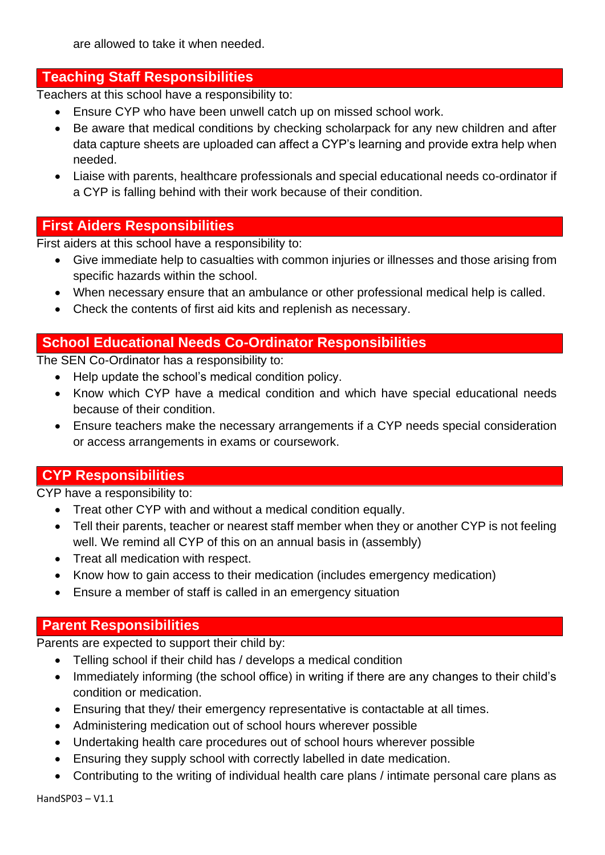are allowed to take it when needed.

# **Teaching Staff Responsibilities**

Teachers at this school have a responsibility to:

- Ensure CYP who have been unwell catch up on missed school work.
- Be aware that medical conditions by checking scholarpack for any new children and after data capture sheets are uploaded can affect a CYP's learning and provide extra help when needed.
- Liaise with parents, healthcare professionals and special educational needs co-ordinator if a CYP is falling behind with their work because of their condition.

## **First Aiders Responsibilities**

First aiders at this school have a responsibility to:

- Give immediate help to casualties with common injuries or illnesses and those arising from specific hazards within the school.
- When necessary ensure that an ambulance or other professional medical help is called.
- Check the contents of first aid kits and replenish as necessary.

## **School Educational Needs Co-Ordinator Responsibilities**

The SEN Co-Ordinator has a responsibility to:

- Help update the school's medical condition policy.
- Know which CYP have a medical condition and which have special educational needs because of their condition.
- Ensure teachers make the necessary arrangements if a CYP needs special consideration or access arrangements in exams or coursework.

# **CYP Responsibilities**

CYP have a responsibility to:

- Treat other CYP with and without a medical condition equally.
- Tell their parents, teacher or nearest staff member when they or another CYP is not feeling well. We remind all CYP of this on an annual basis in (assembly)
- Treat all medication with respect.
- Know how to gain access to their medication (includes emergency medication)
- Ensure a member of staff is called in an emergency situation

#### **Parent Responsibilities**

Parents are expected to support their child by:

- Telling school if their child has / develops a medical condition
- Immediately informing (the school office) in writing if there are any changes to their child's condition or medication.
- Ensuring that they/ their emergency representative is contactable at all times.
- Administering medication out of school hours wherever possible
- Undertaking health care procedures out of school hours wherever possible
- Ensuring they supply school with correctly labelled in date medication.
- Contributing to the writing of individual health care plans / intimate personal care plans as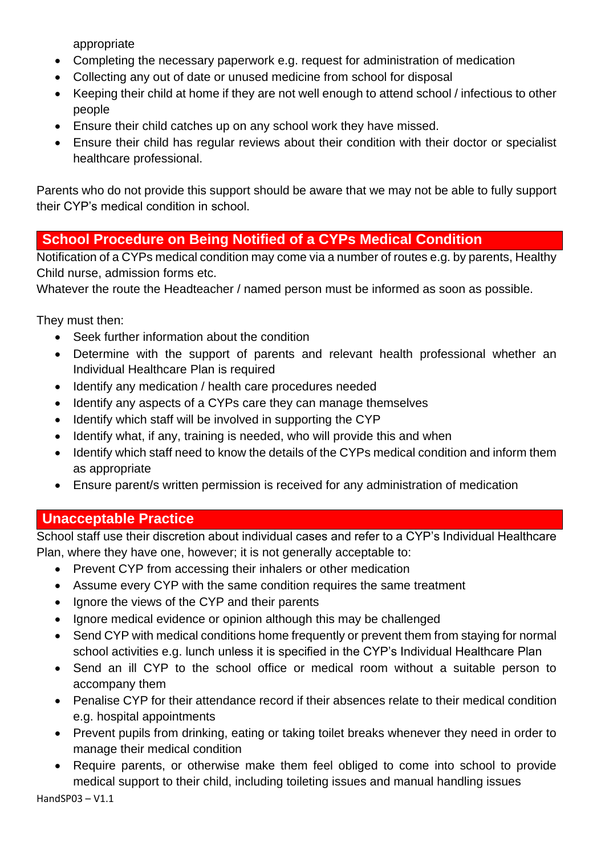appropriate

- Completing the necessary paperwork e.g. request for administration of medication
- Collecting any out of date or unused medicine from school for disposal
- Keeping their child at home if they are not well enough to attend school / infectious to other people
- Ensure their child catches up on any school work they have missed.
- Ensure their child has regular reviews about their condition with their doctor or specialist healthcare professional.

Parents who do not provide this support should be aware that we may not be able to fully support their CYP's medical condition in school.

# **School Procedure on Being Notified of a CYPs Medical Condition**

Notification of a CYPs medical condition may come via a number of routes e.g. by parents, Healthy Child nurse, admission forms etc.

Whatever the route the Headteacher / named person must be informed as soon as possible.

They must then:

- Seek further information about the condition
- Determine with the support of parents and relevant health professional whether an Individual Healthcare Plan is required
- Identify any medication / health care procedures needed
- Identify any aspects of a CYPs care they can manage themselves
- Identify which staff will be involved in supporting the CYP
- Identify what, if any, training is needed, who will provide this and when
- Identify which staff need to know the details of the CYPs medical condition and inform them as appropriate
- Ensure parent/s written permission is received for any administration of medication

# **Unacceptable Practice**

School staff use their discretion about individual cases and refer to a CYP's Individual Healthcare Plan, where they have one, however; it is not generally acceptable to:

- Prevent CYP from accessing their inhalers or other medication
- Assume every CYP with the same condition requires the same treatment
- Ignore the views of the CYP and their parents
- Ignore medical evidence or opinion although this may be challenged
- Send CYP with medical conditions home frequently or prevent them from staying for normal school activities e.g. lunch unless it is specified in the CYP's Individual Healthcare Plan
- Send an ill CYP to the school office or medical room without a suitable person to accompany them
- Penalise CYP for their attendance record if their absences relate to their medical condition e.g. hospital appointments
- Prevent pupils from drinking, eating or taking toilet breaks whenever they need in order to manage their medical condition
- Require parents, or otherwise make them feel obliged to come into school to provide medical support to their child, including toileting issues and manual handling issues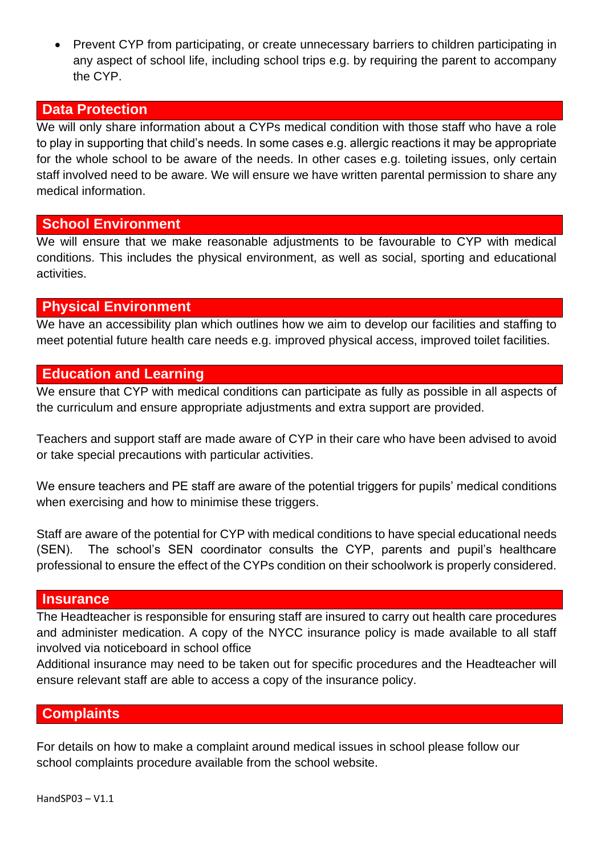• Prevent CYP from participating, or create unnecessary barriers to children participating in any aspect of school life, including school trips e.g. by requiring the parent to accompany the CYP.

#### **Data Protection**

We will only share information about a CYPs medical condition with those staff who have a role to play in supporting that child's needs. In some cases e.g. allergic reactions it may be appropriate for the whole school to be aware of the needs. In other cases e.g. toileting issues, only certain staff involved need to be aware. We will ensure we have written parental permission to share any medical information.

#### **School Environment**

We will ensure that we make reasonable adjustments to be favourable to CYP with medical conditions. This includes the physical environment, as well as social, sporting and educational activities.

# **Physical Environment**

We have an accessibility plan which outlines how we aim to develop our facilities and staffing to meet potential future health care needs e.g. improved physical access, improved toilet facilities.

## **Education and Learning**

We ensure that CYP with medical conditions can participate as fully as possible in all aspects of the curriculum and ensure appropriate adjustments and extra support are provided.

Teachers and support staff are made aware of CYP in their care who have been advised to avoid or take special precautions with particular activities.

We ensure teachers and PE staff are aware of the potential triggers for pupils' medical conditions when exercising and how to minimise these triggers.

Staff are aware of the potential for CYP with medical conditions to have special educational needs (SEN). The school's SEN coordinator consults the CYP, parents and pupil's healthcare professional to ensure the effect of the CYPs condition on their schoolwork is properly considered.

#### **Insurance**

The Headteacher is responsible for ensuring staff are insured to carry out health care procedures and administer medication. A copy of the NYCC insurance policy is made available to all staff involved via noticeboard in school office

Additional insurance may need to be taken out for specific procedures and the Headteacher will ensure relevant staff are able to access a copy of the insurance policy.

#### **Complaints**

For details on how to make a complaint around medical issues in school please follow our school complaints procedure available from the school website.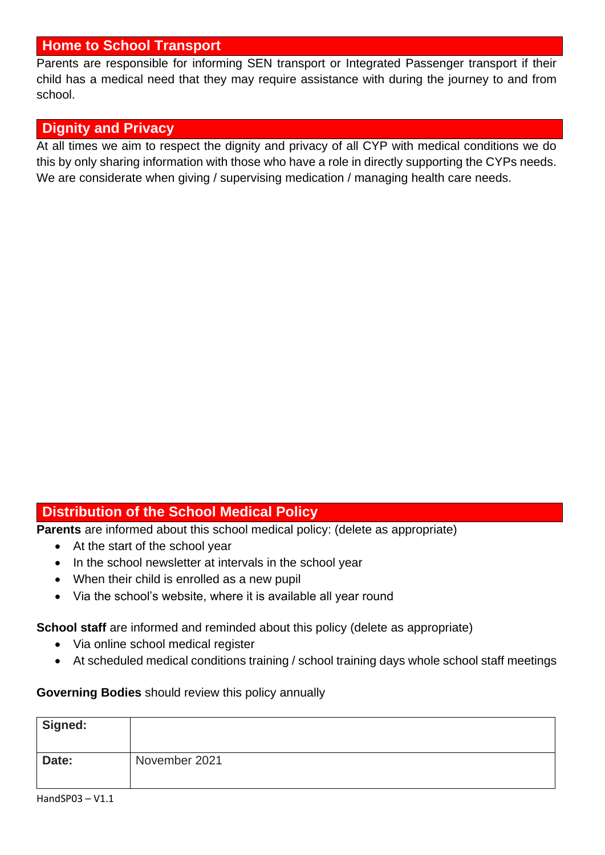## **Home to School Transport**

Parents are responsible for informing SEN transport or Integrated Passenger transport if their child has a medical need that they may require assistance with during the journey to and from school.

## **Dignity and Privacy**

At all times we aim to respect the dignity and privacy of all CYP with medical conditions we do this by only sharing information with those who have a role in directly supporting the CYPs needs. We are considerate when giving / supervising medication / managing health care needs.

## **Distribution of the School Medical Policy**

**Parents** are informed about this school medical policy: (delete as appropriate)

- At the start of the school year
- In the school newsletter at intervals in the school year
- When their child is enrolled as a new pupil
- Via the school's website, where it is available all year round

**School staff** are informed and reminded about this policy (delete as appropriate)

- Via online school medical register
- At scheduled medical conditions training / school training days whole school staff meetings

#### **Governing Bodies** should review this policy annually

| Signed: |               |
|---------|---------------|
| Date:   | November 2021 |